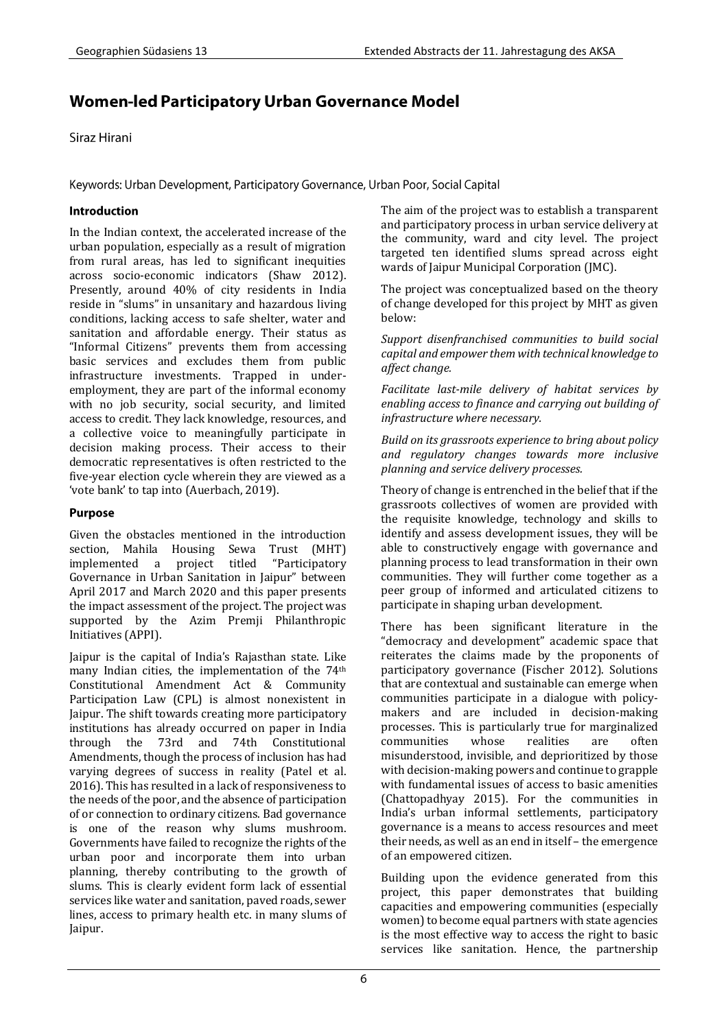# Women-led Participatory Urban Governance Model

Siraz Hirani

Keywords: Urban Development, Participatory Governance, Urban Poor, Social Capital

## Introduction

In the Indian context, the accelerated increase of the urban population, especially as a result of migration from rural areas, has led to significant inequities across socio-economic indicators (Shaw 2012). Presently, around 40% of city residents in India reside in "slums" in unsanitary and hazardous living conditions, lacking access to safe shelter, water and sanitation and affordable energy. Their status as "Informal Citizens" prevents them from accessing basic services and excludes them from public infrastructure investments. Trapped in underemployment, they are part of the informal economy with no job security, social security, and limited access to credit. They lack knowledge, resources, and a collective voice to meaningfully participate in decision making process. Their access to their democratic representatives is often restricted to the five-year election cycle wherein they are viewed as a 'vote bank' to tap into (Auerbach, 2019).

# **Purpose**

Given the obstacles mentioned in the introduction section, Mahila Housing Sewa Trust (MHT) implemented a project titled "Participatory Governance in Urban Sanitation in Jaipur" between April 2017 and March 2020 and this paper presents the impact assessment of the project. The project was supported by the Azim Premji Philanthropic Initiatives (APPI).

Jaipur is the capital of India's Rajasthan state. Like many Indian cities, the implementation of the 74th Constitutional Amendment Act & Community Participation Law (CPL) is almost nonexistent in Jaipur. The shift towards creating more participatory institutions has already occurred on paper in India through the 73rd and 74th Constitutional Amendments, though the process of inclusion has had varying degrees of success in reality (Patel et al. 2016). This has resulted in a lack of responsiveness to the needs of the poor, and the absence of participation of or connection to ordinary citizens. Bad governance is one of the reason why slums mushroom. Governments have failed to recognize the rights of the urban poor and incorporate them into urban planning, thereby contributing to the growth of slums. This is clearly evident form lack of essential services like water and sanitation, paved roads, sewer lines, access to primary health etc. in many slums of Jaipur.

The aim of the project was to establish a transparent and participatory process in urban service delivery at the community, ward and city level. The project targeted ten identified slums spread across eight wards of Jaipur Municipal Corporation (JMC).

The project was conceptualized based on the theory of change developed for this project by MHT as given below:

*Support disenfranchised communities to build social capital and empower them with technical knowledge to affect change.* 

*Facilitate last-mile delivery of habitat services by enabling access to finance and carrying out building of infrastructure where necessary.* 

*Build on its grassroots experience to bring about policy and regulatory changes towards more inclusive planning and service delivery processes.* 

Theory of change is entrenched in the belief that if the grassroots collectives of women are provided with the requisite knowledge, technology and skills to identify and assess development issues, they will be able to constructively engage with governance and planning process to lead transformation in their own communities. They will further come together as a peer group of informed and articulated citizens to participate in shaping urban development.

There has been significant literature in the "democracy and development" academic space that reiterates the claims made by the proponents of participatory governance (Fischer 2012). Solutions that are contextual and sustainable can emerge when communities participate in a dialogue with policymakers and are included in decision-making processes. This is particularly true for marginalized communities whose realities are often misunderstood, invisible, and deprioritized by those with decision-making powers and continue to grapple with fundamental issues of access to basic amenities (Chattopadhyay 2015). For the communities in India's urban informal settlements, participatory governance is a means to access resources and meet their needs, as well as an end in itself – the emergence of an empowered citizen.

Building upon the evidence generated from this project, this paper demonstrates that building capacities and empowering communities (especially women) to become equal partners with state agencies is the most effective way to access the right to basic services like sanitation. Hence, the partnership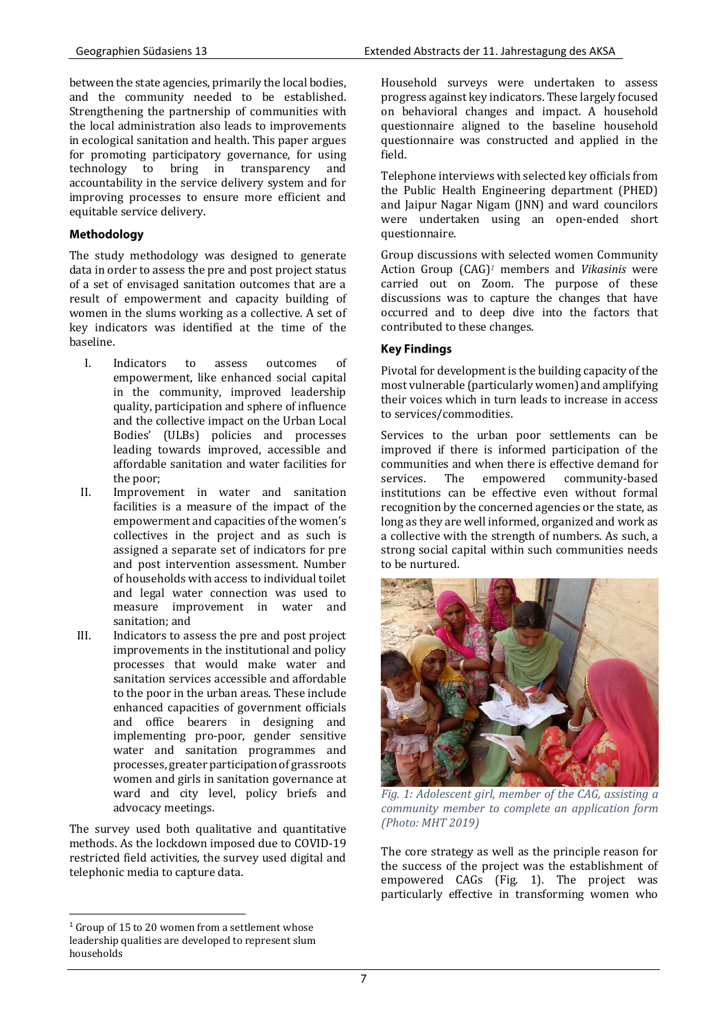between the state agencies, primarily the local bodies, and the community needed to be established. Strengthening the partnership of communities with the local administration also leads to improvements in ecological sanitation and health. This paper argues for promoting participatory governance, for using technology to bring in transparency and accountability in the service delivery system and for improving processes to ensure more efficient and equitable service delivery.

# Methodology

The study methodology was designed to generate data in order to assess the pre and post project status of a set of envisaged sanitation outcomes that are a result of empowerment and capacity building of women in the slums working as a collective. A set of key indicators was identified at the time of the baseline.

- I. Indicators to assess outcomes of empowerment, like enhanced social capital in the community, improved leadership quality, participation and sphere of influence and the collective impact on the Urban Local Bodies' (ULBs) policies and processes leading towards improved, accessible and affordable sanitation and water facilities for the poor;
- II. Improvement in water and sanitation facilities is a measure of the impact of the empowerment and capacities of the women's collectives in the project and as such is assigned a separate set of indicators for pre and post intervention assessment. Number of households with access to individual toilet and legal water connection was used to measure improvement in water and sanitation; and
- III. Indicators to assess the pre and post project improvements in the institutional and policy processes that would make water and sanitation services accessible and affordable to the poor in the urban areas. These include enhanced capacities of government officials and office bearers in designing and implementing pro-poor, gender sensitive water and sanitation programmes and processes, greater participation of grassroots women and girls in sanitation governance at ward and city level, policy briefs and advocacy meetings.

The survey used both qualitative and quantitative methods. As the lockdown imposed due to COVID-19 restricted field activities, the survey used digital and telephonic media to capture data.

Household surveys were undertaken to assess progress against key indicators. These largely focused on behavioral changes and impact. A household questionnaire aligned to the baseline household questionnaire was constructed and applied in the field.

Telephone interviews with selected key officials from the Public Health Engineering department (PHED) and Jaipur Nagar Nigam (JNN) and ward councilors were undertaken using an open-ended short questionnaire.

Group discussions with selected women Community Action Group (CAG) *<sup>1</sup>* members and *Vikasinis* were carried out on Zoom. The purpose of these discussions was to capture the changes that have occurred and to deep dive into the factors that contributed to these changes.

## **Key Findings**

Pivotal for development is the building capacity of the most vulnerable (particularly women) and amplifying their voices which in turn leads to increase in access to services/commodities.

Services to the urban poor settlements can be improved if there is informed participation of the communities and when there is effective demand for services. The empowered community-based institutions can be effective even without formal recognition by the concerned agencies or the state, as long as they are well informed, organized and work as a collective with the strength of numbers. As such, a strong social capital within such communities needs to be nurtured.



*Fig. 1: Adolescent girl, member of the CAG, assisting a community member to complete an application form (Photo: MHT 2019)*

The core strategy as well as the principle reason for the success of the project was the establishment of empowered CAGs (Fig. 1). The project was particularly effective in transforming women who

 $\overline{\phantom{a}}$ <sup>1</sup> Group of 15 to 20 women from a settlement whose leadership qualities are developed to represent slum households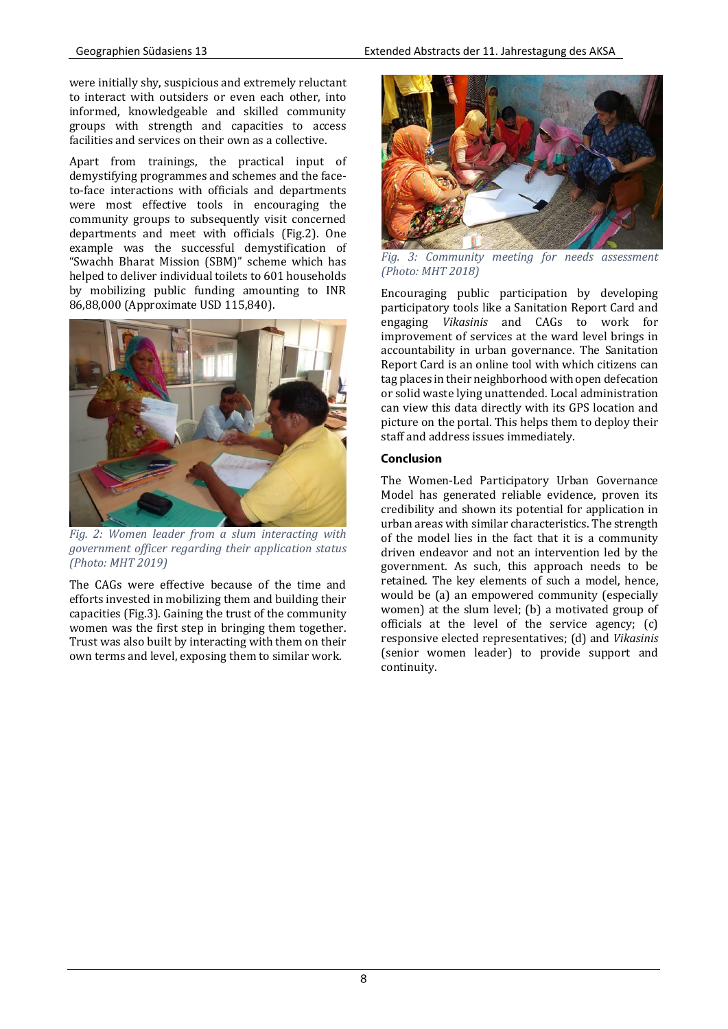were initially shy, suspicious and extremely reluctant to interact with outsiders or even each other, into informed, knowledgeable and skilled community groups with strength and capacities to access facilities and services on their own as a collective.

Apart from trainings, the practical input of demystifying programmes and schemes and the faceto-face interactions with officials and departments were most effective tools in encouraging the community groups to subsequently visit concerned departments and meet with officials (Fig.2). One example was the successful demystification of "Swachh Bharat Mission (SBM)" scheme which has helped to deliver individual toilets to 601 households by mobilizing public funding amounting to INR 86,88,000 (Approximate USD 115,840).



*Fig. 2: Women leader from a slum interacting with government officer regarding their application status (Photo: MHT 2019)*

The CAGs were effective because of the time and efforts invested in mobilizing them and building their capacities (Fig.3). Gaining the trust of the community women was the first step in bringing them together. Trust was also built by interacting with them on their own terms and level, exposing them to similar work.



*Fig. 3: Community meeting for needs assessment (Photo: MHT 2018)*

Encouraging public participation by developing participatory tools like a Sanitation Report Card and engaging *Vikasinis* and CAGs to work for improvement of services at the ward level brings in accountability in urban governance. The Sanitation Report Card is an online tool with which citizens can tag places in their neighborhood with open defecation or solid waste lying unattended. Local administration can view this data directly with its GPS location and picture on the portal. This helps them to deploy their staff and address issues immediately.

## Conclusion

The Women-Led Participatory Urban Governance Model has generated reliable evidence, proven its credibility and shown its potential for application in urban areas with similar characteristics. The strength of the model lies in the fact that it is a community driven endeavor and not an intervention led by the government. As such, this approach needs to be retained. The key elements of such a model, hence, would be (a) an empowered community (especially women) at the slum level; (b) a motivated group of officials at the level of the service agency; (c) responsive elected representatives; (d) and *Vikasinis* (senior women leader) to provide support and continuity.